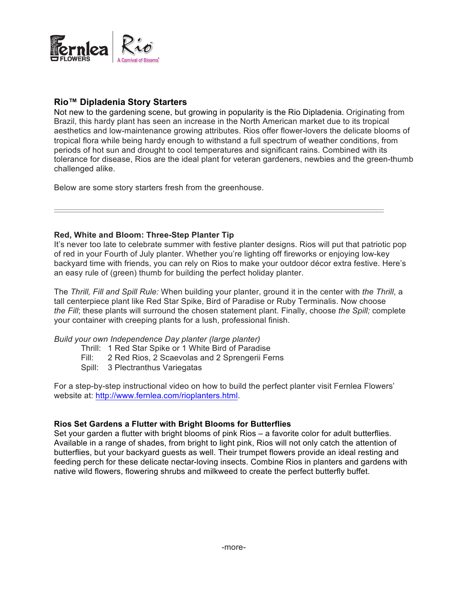

# **Rio™ Dipladenia Story Starters**

Not new to the gardening scene, but growing in popularity is the Rio Dipladenia. Originating from Brazil, this hardy plant has seen an increase in the North American market due to its tropical aesthetics and low-maintenance growing attributes. Rios offer flower-lovers the delicate blooms of tropical flora while being hardy enough to withstand a full spectrum of weather conditions, from periods of hot sun and drought to cool temperatures and significant rains. Combined with its tolerance for disease, Rios are the ideal plant for veteran gardeners, newbies and the green-thumb challenged alike.

Below are some story starters fresh from the greenhouse.

# **Red, White and Bloom: Three-Step Planter Tip**

It's never too late to celebrate summer with festive planter designs. Rios will put that patriotic pop of red in your Fourth of July planter. Whether you're lighting off fireworks or enjoying low-key backyard time with friends, you can rely on Rios to make your outdoor décor extra festive. Here's an easy rule of (green) thumb for building the perfect holiday planter.

The *Thrill, Fill and Spill Rule:* When building your planter, ground it in the center with *the Thrill*, a tall centerpiece plant like Red Star Spike, Bird of Paradise or Ruby Terminalis. Now choose *the Fill*; these plants will surround the chosen statement plant. Finally, choose *the Spill;* complete your container with creeping plants for a lush, professional finish.

## *Build your own Independence Day planter (large planter)*

- Thrill: 1 Red Star Spike or 1 White Bird of Paradise
- Fill: 2 Red Rios, 2 Scaevolas and 2 Sprengerii Ferns
- Spill: 3 Plectranthus Variegatas

For a step-by-step instructional video on how to build the perfect planter visit Fernlea Flowers' website at: http://www.fernlea.com/rioplanters.html.

# **Rios Set Gardens a Flutter with Bright Blooms for Butterflies**

Set your garden a flutter with bright blooms of pink Rios – a favorite color for adult butterflies. Available in a range of shades, from bright to light pink, Rios will not only catch the attention of butterflies, but your backyard guests as well. Their trumpet flowers provide an ideal resting and feeding perch for these delicate nectar-loving insects. Combine Rios in planters and gardens with native wild flowers, flowering shrubs and milkweed to create the perfect butterfly buffet.